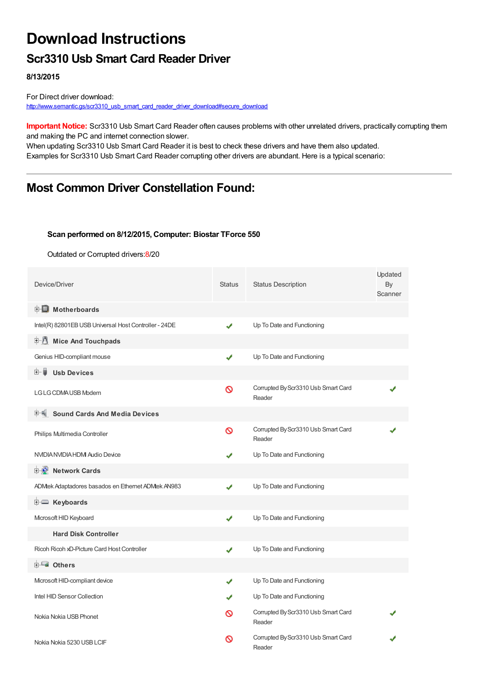## **Download Instructions**

### **Scr3310 Usb Smart Card Reader Driver**

**8/13/2015**

For Direct driver download: [http://www.semantic.gs/scr3310\\_usb\\_smart\\_card\\_reader\\_driver\\_download#secure\\_download](http://www.semantic.gs/scr3310_usb_smart_card_reader_driver_download#secure_download)

**Important Notice:** Scr3310 Usb Smart Card Reader often causes problems with other unrelated drivers, practically corrupting them and making the PC and internet connection slower.

When updating Scr3310 Usb Smart Card Reader it is best to check these drivers and have them also updated. Examples for Scr3310 Usb Smart Card Reader corrupting other drivers are abundant. Here is a typical scenario:

### **Most Common Driver Constellation Found:**

#### **Scan performed on 8/12/2015, Computer: Biostar TForce 550**

Outdated or Corrupted drivers:8/20

| Device/Driver                                         | <b>Status</b> | <b>Status Description</b>                     | Updated<br>By<br>Scanner |
|-------------------------------------------------------|---------------|-----------------------------------------------|--------------------------|
| <b>E</b> Motherboards                                 |               |                                               |                          |
| Intel(R) 82801EB USB Universal Host Controller - 24DE | ✔             | Up To Date and Functioning                    |                          |
| E-14<br><b>Mice And Touchpads</b>                     |               |                                               |                          |
| Genius HID-compliant mouse                            | ✔             | Up To Date and Functioning                    |                          |
| 田一篇<br><b>Usb Devices</b>                             |               |                                               |                          |
| LG LG CDMA USB Modem                                  | Ø             | Corrupted By Scr3310 Usb Smart Card<br>Reader |                          |
| <b>Sound Cards And Media Devices</b>                  |               |                                               |                          |
| Philips Multimedia Controller                         | Ø             | Corrupted By Scr3310 Usb Smart Card<br>Reader |                          |
| NVIDIA NVIDIA HDMI Audio Device                       | J             | Up To Date and Functioning                    |                          |
| <b>E-2</b> Network Cards                              |               |                                               |                          |
| ADMtek Adaptadores basados en Ethernet ADMtek AN983   | ✔             | Up To Date and Functioning                    |                          |
| E Keyboards                                           |               |                                               |                          |
| Microsoft HID Keyboard                                | J             | Up To Date and Functioning                    |                          |
| <b>Hard Disk Controller</b>                           |               |                                               |                          |
| Ricoh Ricoh xD-Picture Card Host Controller           | ✔             | Up To Date and Functioning                    |                          |
| <b>E</b> Others                                       |               |                                               |                          |
| Mcrosoft HID-compliant device                         | ✔             | Up To Date and Functioning                    |                          |
| Intel HID Sensor Collection                           |               | Up To Date and Functioning                    |                          |
| Nokia Nokia USB Phonet                                | ര             | Corrupted By Scr3310 Usb Smart Card<br>Reader |                          |
| Nokia Nokia 5230 USB LCIF                             | ∾             | Corrupted By Scr3310 Usb Smart Card<br>Reader |                          |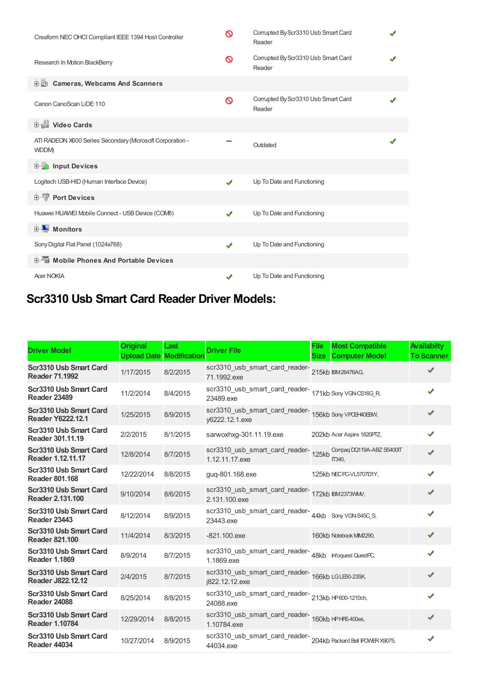| Creaform NEC OHCI Compliant IEEE 1394 Host Controller                   | ∾ | Corrupted By Scr3310 Usb Smart Card<br>Reader |  |
|-------------------------------------------------------------------------|---|-----------------------------------------------|--|
| Research In Motion BlackBerry                                           | ଷ | Corrupted By Scr3310 Usb Smart Card<br>Reader |  |
| <b>D</b> Cameras, Webcams And Scanners                                  |   |                                               |  |
| Canon CanoScan LiDE 110                                                 | ∾ | Corrupted By Scr3310 Usb Smart Card<br>Reader |  |
| 中書 Video Cards                                                          |   |                                               |  |
| ATI RADEON X600 Series Secondary (Mcrosoft Corporation -<br><b>WDDM</b> |   | Outdated                                      |  |
| <b>Devices</b> Input Devices                                            |   |                                               |  |
| Logitech USB-HID (Human Interface Device)                               | ✔ | Up To Date and Functioning                    |  |
| <b>E-TP</b> Port Devices                                                |   |                                               |  |
| Huawei HUAWEI Mobile Connect - USB Device (COMB)                        | ✔ | Up To Date and Functioning                    |  |
| <b>E</b> Monitors                                                       |   |                                               |  |
| Sony Digital Flat Panel (1024x768)                                      | ✔ | Up To Date and Functioning                    |  |
| <b>E-5</b> Mobile Phones And Portable Devices                           |   |                                               |  |
| <b>Acer NOKIA</b>                                                       | ✔ | Up To Date and Functioning                    |  |

## **Scr3310 Usb Smart Card Reader Driver Models:**

| <b>Driver Model</b>                                | <b>Original</b> | Last<br><b>Upload Date Modification</b> | <b>Driver File</b>                                                                  | <b>File</b><br><b>Size</b> | <b>Most Compatible</b><br><b>Computer Model</b> | <b>Availabilty</b><br><b>To Scanner</b> |
|----------------------------------------------------|-----------------|-----------------------------------------|-------------------------------------------------------------------------------------|----------------------------|-------------------------------------------------|-----------------------------------------|
| Scr3310 Usb Smart Card<br><b>Reader 71.1992</b>    | 1/17/2015       | 8/2/2015                                | scr3310_usb_smart_card_reader-<br>215kb BM26476AG,<br>71.1992.exe                   |                            |                                                 |                                         |
| Scr3310 Usb Smart Card<br><b>Reader 23489</b>      | 11/2/2014       | 8/4/2015                                | scr3310_usb_smart_card_reader-<br>171kb Sony VGNCS16G_R<br>23489 exe                |                            |                                                 | ✔                                       |
| Scr3310 Usb Smart Card<br><b>Reader Y6222.12.1</b> | 1/25/2015       | 8/9/2015                                | scr3310_usb_smart_card_reader-<br>156kb Sony VPCB+40EBW,<br>y6222.12.1.exe          |                            |                                                 | ✔                                       |
| Scr3310 Usb Smart Card<br>Reader 301.11.19         | 2/2/2015        | 8/1/2015                                | sarwoxhxq-301.11.19.exe                                                             |                            | 202kb Acer Aspire 1820PTZ,                      | ✔                                       |
| Scr3310 Usb Smart Card<br>Reader 1.12.11.17        | 12/8/2014       | 8/7/2015                                | scr3310_usb_smart_card_reader-<br>125kb Compaq DQ119A-ABZ S5400IT<br>1.12.11.17.exe |                            | <b>Π340.</b>                                    | ✔                                       |
| Scr3310 Usb Smart Card<br><b>Reader 801.168</b>    | 12/22/2014      | 8/8/2015                                | quq-801.168.exe                                                                     |                            | 125kb NEC PC-VL5707D1Y,                         | J                                       |
| Scr3310 Usb Smart Card<br>Reader 2.131.100         | 9/10/2014       | 8/6/2015                                | scr3310_usb_smart_card_reader-<br>172kb BM2373VMM,<br>2.131.100.exe                 |                            |                                                 | ✔                                       |
| Scr3310 Usb Smart Card<br><b>Reader 23443</b>      | 8/12/2014       | 8/9/2015                                | scr3310_usb_smart_card_reader-44kb Sony VGN-S45C_S,<br>23443.exe                    |                            |                                                 | J                                       |
| Scr3310 Usb Smart Card<br><b>Reader 821.100</b>    | 11/4/2014       | 8/3/2015                                | $-821.100$ .exe                                                                     |                            | 160kb Notebook MIM2290,                         | ✔                                       |
| Scr3310 Usb Smart Card<br><b>Reader 1.1869</b>     | 8/9/2014        | 8/7/2015                                | scr3310_usb_smart_card_reader-<br>48kb Infoquest QuestPC,<br>1.1869.exe             |                            |                                                 |                                         |
| Scr3310 Usb Smart Card<br>Reader J822.12.12        | 2/4/2015        | 8/7/2015                                | scr3310_usb_smart_card_reader-<br>166kb LGLE60-23SK,<br>j822.12.12.exe              |                            |                                                 | ✔                                       |
| Scr3310 Usb Smart Card<br><b>Reader 24088</b>      | 8/25/2014       | 8/8/2015                                | scr3310_usb_smart_card_reader-<br>213kb HP600-1210ch,<br>24088.exe                  |                            |                                                 |                                         |
| Scr3310 Usb Smart Card<br><b>Reader 1.10784</b>    | 12/29/2014      | 8/8/2015                                | scr3310_usb_smart_card_reader-<br>160kb HPHE-400es,<br>1.10784.exe                  |                            |                                                 |                                         |
| Scr3310 Usb Smart Card<br><b>Reader 44034</b>      | 10/27/2014      | 8/9/2015                                | scr3310_usb_smart_card_reader-204kb Packard Bell IPOWERX9075,<br>44034.exe          |                            |                                                 |                                         |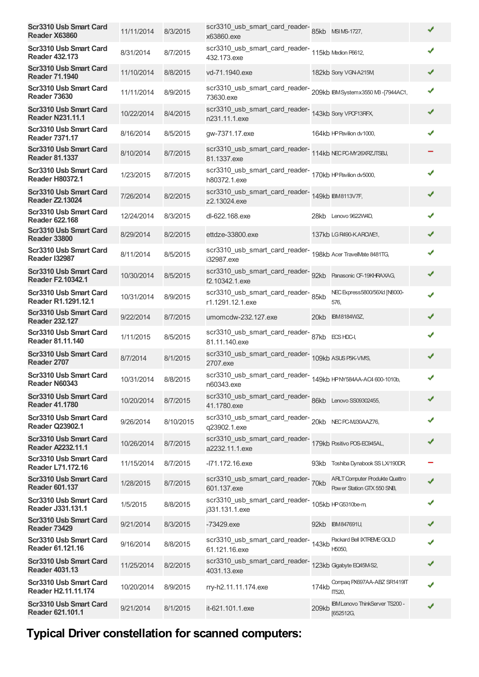| <b>Scr3310 Usb Smart Card</b><br>Reader X63860            | 11/11/2014 | 8/3/2015  | scr3310_usb_smart_card_reader-85kb MSIMS-1727,<br>x63860.exe                     |       |                                                                     | ✔ |  |
|-----------------------------------------------------------|------------|-----------|----------------------------------------------------------------------------------|-------|---------------------------------------------------------------------|---|--|
| <b>Scr3310 Usb Smart Card</b><br><b>Reader 432.173</b>    | 8/31/2014  | 8/7/2015  | scr3310_usb_smart_card_reader-<br>115kb Medion P6612,<br>432.173.exe             |       |                                                                     | J |  |
| Scr3310 Usb Smart Card<br><b>Reader 71.1940</b>           | 11/10/2014 | 8/8/2015  | vd-71.1940.exe                                                                   |       | 182kb Sony VGN-A215M                                                | ✔ |  |
| Scr3310 Usb Smart Card<br><b>Reader 73630</b>             | 11/11/2014 | 8/9/2015  | scr3310_usb_smart_card_reader-<br>209kb BMSystemx3550 MB-[7944AC1,<br>73630.exe  |       |                                                                     | J |  |
| <b>Scr3310 Usb Smart Card</b><br><b>Reader N231.11.1</b>  | 10/22/2014 | 8/4/2015  | scr3310_usb_smart_card_reader-<br>143kb Sony VPCF13RFX,<br>n231.11.1.exe         |       |                                                                     | ✔ |  |
| Scr3310 Usb Smart Card<br><b>Reader 7371.17</b>           | 8/16/2014  | 8/5/2015  | gw-7371.17.exe                                                                   |       | 164kb HP Pavilion dv1000,                                           | ✔ |  |
| <b>Scr3310 Usb Smart Card</b><br><b>Reader 81.1337</b>    | 8/10/2014  | 8/7/2015  | scr3310_usb_smart_card_reader-<br>114kb NECPC-MY26XPZJTSBJ,<br>81.1337.exe       |       |                                                                     |   |  |
| Scr3310 Usb Smart Card<br><b>Reader H80372.1</b>          | 1/23/2015  | 8/7/2015  | scr3310_usb_smart_card_reader-<br>170kb HP Pavilion dv5000,<br>h80372.1.exe      |       |                                                                     | ✔ |  |
| Scr3310 Usb Smart Card<br><b>Reader Z2.13024</b>          | 7/26/2014  | 8/2/2015  | scr3310_usb_smart_card_reader-<br>149kb BM8113V7F,<br>z2.13024.exe               |       |                                                                     | ✔ |  |
| Scr3310 Usb Smart Card<br><b>Reader 622.168</b>           | 12/24/2014 | 8/3/2015  | dl-622.168.exe                                                                   |       | 28kb Lenovo 9622W4D,                                                | ✔ |  |
| <b>Scr3310 Usb Smart Card</b><br><b>Reader 33800</b>      | 8/29/2014  | 8/2/2015  | ettdze-33800.exe                                                                 |       | 137kb LGR490-KAROWE1,                                               | ✔ |  |
| <b>Scr3310 Usb Smart Card</b><br><b>Reader I32987</b>     | 8/11/2014  | 8/5/2015  | scr3310_usb_smart_card_reader-<br>198kb Acer TravelMate 8481TG,<br>i32987.exe    |       |                                                                     | ✔ |  |
| <b>Scr3310 Usb Smart Card</b><br><b>Reader F2.10342.1</b> | 10/30/2014 | 8/5/2015  | scr3310_usb_smart_card_reader-<br>92kb Panasonic CF-19KHRAXAG,<br>f2.10342.1.exe |       |                                                                     | ✔ |  |
| Scr3310 Usb Smart Card<br>Reader R1.1291.12.1             | 10/31/2014 | 8/9/2015  | scr3310_usb_smart_card_reader-85kb<br>r1.1291.12.1.exe                           |       | NEC Express5800/56Xd [N8000-<br>576,                                | ✔ |  |
| <b>Scr3310 Usb Smart Card</b><br><b>Reader 232.127</b>    | 9/22/2014  | 8/7/2015  | umomcdw-232.127.exe                                                              |       | 20kb IBM8184W3Z,                                                    | ✔ |  |
| <b>Scr3310 Usb Smart Card</b><br>Reader 81.11.140         | 1/11/2015  | 8/5/2015  | scr3310_usb_smart_card_reader-87kb ECSHDC-I,<br>81.11.140.exe                    |       |                                                                     | ✔ |  |
| Scr3310 Usb Smart Card<br>Reader 2707                     | 8/7/2014   | 8/1/2015  | scr3310_usb_smart_card_reader-<br>109kb ASUS P5K-VMS,<br>2707.exe                |       |                                                                     | ✔ |  |
| Scr3310 Usb Smart Card<br>Reader N60343                   | 10/31/2014 | 8/8/2015  | scr3310_usb_smart_card_reader-<br>149kb HPNY584AA-AC4600-1010b,<br>n60343.exe    |       |                                                                     | ✔ |  |
| <b>Scr3310 Usb Smart Card</b><br><b>Reader 41.1780</b>    | 10/20/2014 | 8/7/2015  | scr3310_usb_smart_card_reader-86kb Lenovo SS09302455,<br>41.1780.exe             |       |                                                                     | ✔ |  |
| Scr3310 Usb Smart Card<br><b>Reader Q23902.1</b>          | 9/26/2014  | 8/10/2015 | scr3310_usb_smart_card_reader-<br>20kb NECPC-MJ30AAZ76,<br>q23902.1.exe          |       |                                                                     | ✔ |  |
| <b>Scr3310 Usb Smart Card</b><br>Reader A2232.11.1        | 10/26/2014 | 8/7/2015  | scr3310_usb_smart_card_reader-<br>a2232.11.1.exe                                 |       | 179kb Positivo POS-EC945AL,                                         | ✔ |  |
| Scr3310 Usb Smart Card<br>Reader L71.172.16               | 11/15/2014 | 8/7/2015  | -l71.172.16.exe                                                                  |       | 93kb Toshiba Dynabook SS LX/190DR,                                  |   |  |
| Scr3310 Usb Smart Card<br><b>Reader 601.137</b>           | 1/28/2015  | 8/7/2015  | scr3310_usb_smart_card_reader-70kb<br>601.137.exe                                |       | <b>ARLT Computer Produkte Quattro</b><br>Power Station GTX 550 SNB, | ✔ |  |
| Scr3310 Usb Smart Card<br>Reader J331.131.1               | 1/5/2015   | 8/8/2015  | scr3310_usb_smart_card_reader-<br>105kb HPG5310be-m<br>j331.131.1.exe            |       |                                                                     | ✔ |  |
| <b>Scr3310 Usb Smart Card</b><br><b>Reader 73429</b>      | 9/21/2014  | 8/3/2015  | -73429.exe                                                                       |       | 92kb IBM847691U,                                                    | ✔ |  |
| Scr3310 Usb Smart Card<br>Reader 61.121.16                | 9/16/2014  | 8/8/2015  | scr3310_usb_smart_card_reader-<br>143kb<br>61.121.16.exe                         |       | Packard Bell IXTREME GOLD<br>H <sub>5050</sub>                      | ✔ |  |
| Scr3310 Usb Smart Card<br><b>Reader 4031.13</b>           | 11/25/2014 | 8/2/2015  | scr3310_usb_smart_card_reader-<br>123kb Ggabyte EQ45M-S2,<br>4031.13.exe         |       |                                                                     | ✔ |  |
| Scr3310 Usb Smart Card<br>Reader H2.11.11.174             | 10/20/2014 | 8/9/2015  | rry-h2.11.11.174.exe                                                             | 174kb | Compaq PX697AA-ABZ SR1419IT<br>IT520,                               | ✔ |  |
| Scr3310 Usb Smart Card<br>Reader 621.101.1                | 9/21/2014  | 8/1/2015  | it-621.101.1.exe                                                                 | 209kb | <b>IBM Lenovo ThinkServer TS200 -</b><br>[652512G,                  | ✔ |  |
|                                                           |            |           |                                                                                  |       |                                                                     |   |  |

# **Typical Driver constellation for scanned computers:**